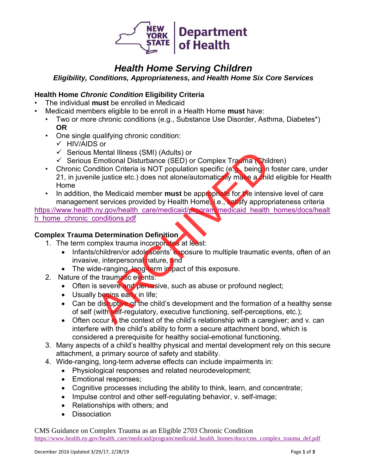

# *Health Home Serving Children*

*Eligibility, Conditions, Appropriateness, and Health Home Six Core Services*

## **Health Home** *Chronic Condition* **Eligibility Criteria**

- The individual **must** be enrolled in Medicaid
- Medicaid members eligible to be enroll in a Health Home **must** have:
	- Two or more chronic conditions (e.g., Substance Use Disorder, Asthma, Diabetes\*) **OR**
	- One single qualifying chronic condition:
		- ✓ HIV/AIDS or
		- ✓ Serious Mental Illness (SMI) (Adults) or
		- $\checkmark$  Serious Emotional Disturbance (SED) or Complex Trauma (Children)
	- Chronic Condition Criteria is NOT population specific (e.g., being in foster care, under 21, in juvenile justice etc.) does not alone/automatically make a child eligible for Health Home Mental Illness (SMI) (Adults) or<br>
	Emotional Disturbance (SED) or Complex Trauma (Chilo<br>
	idition Criteria is NOT population specific (e.g. being in<br>
	ile justice etc.) does not alone/automatically make a mild<br>
	the Medicaid m
	- In addition, the Medicaid member **must** be appropriate for the intensive level of care management services provided by Health Home, i.e., satisfy appropriateness criteria

[https://www.health.ny.gov/health\\_care/medicaid/program/medicaid\\_health\\_homes/docs/healt](https://www.health.ny.gov/health_care/medicaid/program/medicaid_health_homes/docs/health_home_chronic_conditions.pdf) [h\\_home\\_chronic\\_conditions.pdf](https://www.health.ny.gov/health_care/medicaid/program/medicaid_health_homes/docs/health_home_chronic_conditions.pdf)

#### **Complex Trauma Determination Definition**

- 1. The term complex trauma incorporates at least:
	- Infants/children/or adolescents' exposure to multiple traumatic events, often of an invasive, interpersonal nature, and
	- The wide-ranging, long-term impact of this exposure.
- 2. Nature of the traumatic events:
	- Often is severe and pervasive, such as abuse or profound neglect;
	- Usually begins early in life;
	- Can be distuptive of the child's development and the formation of a healthy sense of self (with self-regulatory, executive functioning, self-perceptions, etc.);
	- Often occur in the context of the child's relationship with a caregiver; and v. can interfere with the child's ability to form a secure attachment bond, which is considered a prerequisite for healthy social-emotional functioning.
- 3. Many aspects of a child's healthy physical and mental development rely on this secure attachment, a primary source of safety and stability.
- 4. Wide-ranging, long-term adverse effects can include impairments in:
	- Physiological responses and related neurodevelopment;
	- Emotional responses:
	- Cognitive processes including the ability to think, learn, and concentrate;
	- Impulse control and other self-regulating behavior, v. self-image;
	- Relationships with others: and
	- Dissociation

CMS Guidance on Complex Trauma as an Eligible 2703 Chronic Condition [https://www.health.ny.gov/health\\_care/medicaid/program/medicaid\\_health\\_homes/docs/cms\\_complex\\_trauma\\_def.pdf](https://www.health.ny.gov/health_care/medicaid/program/medicaid_health_homes/docs/cms_complex_trauma_def.pdf)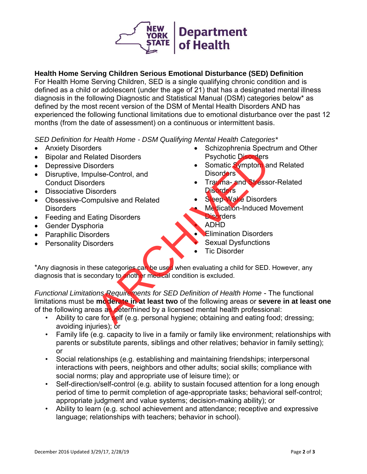

## **Health Home Serving Children Serious Emotional Disturbance (SED) Definition**

For Health Home Serving Children, SED is a single qualifying chronic condition and is defined as a child or adolescent (under the age of 21) that has a designated mental illness diagnosis in the following Diagnostic and Statistical Manual (DSM) categories below\* as defined by the most recent version of the DSM of Mental Health Disorders AND has experienced the following functional limitations due to emotional disturbance over the past 12 months (from the date of assessment) on a continuous or intermittent basis.

*SED Definition for Health Home - DSM Qualifying Mental Health Categories\** 

- Anxiety Disorders
- Bipolar and Related Disorders
- Depressive Disorders
- Disruptive, Impulse-Control, and Conduct Disorders
- Dissociative Disorders
- Obsessive-Compulsive and Related **Disorders**
- Feeding and Eating Disorders
- Gender Dysphoria
- Paraphilic Disorders
- Personality Disorders
- Schizophrenia Spectrum and Other Psychotic Disorders
- Somatic Symptom and Related **Disorders**
- Trauma- and Stressor-Related **Disorders**
- **Sleep-Wake Disorders**
- Medication-Induced Movement **Disorders** 
	- ADHD
- **Elimination Disorders**
- Sexual Dysfunctions
- **Tic Disorder**

\*Any diagnosis in these categories can be used when evaluating a child for SED. However, any diagnosis that is secondary to another medical condition is excluded.

*Functional Limitations Requirements for SED Definition of Health Home* - The functional limitations must be **moderate in at least two** of the following areas or **severe in at least one** of the following areas as determined by a licensed mental health professional: Fischer Control, and<br>
Since Offers orders<br>
orders<br>
sorders<br>
sorders<br>
sorders<br>
sorders<br>
mpulsive and Related<br>
Trading Disorders<br>
Trading and Stress<br>
mpulsive and Related<br>
Trading and Stress<br>
Disorders<br>
Make Disorders<br>
Make

- Ability to care for self (e.g. personal hygiene; obtaining and eating food; dressing; avoiding injuries); or
- Family life (e.g. capacity to live in a family or family like environment; relationships with parents or substitute parents, siblings and other relatives; behavior in family setting); or
- Social relationships (e.g. establishing and maintaining friendships; interpersonal interactions with peers, neighbors and other adults; social skills; compliance with social norms; play and appropriate use of leisure time); or
- Self-direction/self-control (e.g. ability to sustain focused attention for a long enough period of time to permit completion of age-appropriate tasks; behavioral self-control; appropriate judgment and value systems; decision-making ability); or
- Ability to learn (e.g. school achievement and attendance; receptive and expressive language; relationships with teachers; behavior in school).